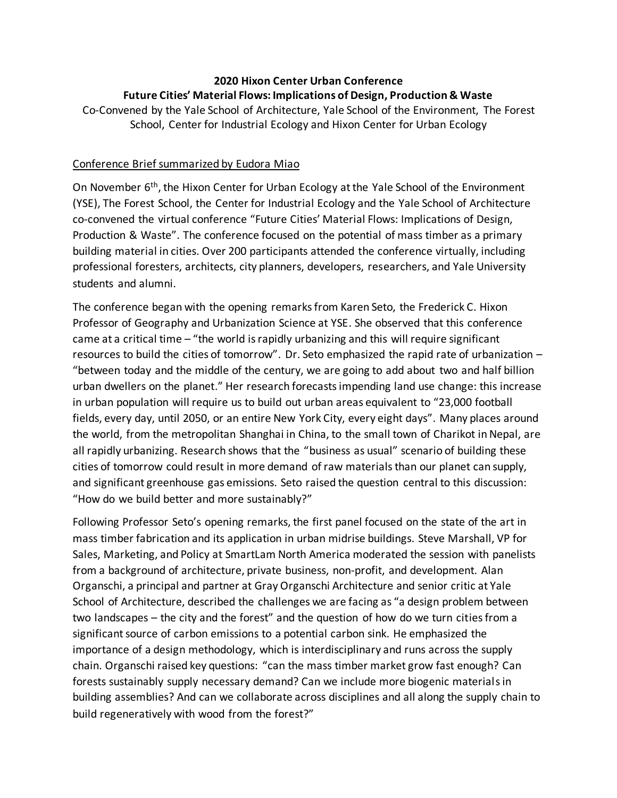## **2020 Hixon Center Urban Conference Future Cities' Material Flows: Implications of Design, Production & Waste**

Co-Convened by the Yale School of Architecture, Yale School of the Environment, The Forest School, Center for Industrial Ecology and Hixon Center for Urban Ecology

## Conference Brief summarized by Eudora Miao

On November 6<sup>th</sup>, the Hixon Center for Urban Ecology at the Yale School of the Environment (YSE), The Forest School, the Center for Industrial Ecology and the Yale School of Architecture co-convened the virtual conference "Future Cities' Material Flows: Implications of Design, Production & Waste". The conference focused on the potential of mass timber as a primary building material in cities. Over 200 participants attended the conference virtually, including professional foresters, architects, city planners, developers, researchers, and Yale University students and alumni.

The conference began with the opening remarks from Karen Seto, the Frederick C. Hixon Professor of Geography and Urbanization Science at YSE. She observed that this conference came at a critical time – "the world is rapidly urbanizing and this will require significant resources to build the cities of tomorrow". Dr. Seto emphasized the rapid rate of urbanization – "between today and the middle of the century, we are going to add about two and half billion urban dwellers on the planet." Her research forecastsimpending land use change: this increase in urban population will require us to build out urban areas equivalent to "23,000 football fields, every day, until 2050, or an entire New York City, every eight days". Many places around the world, from the metropolitan Shanghai in China, to the small town of Charikot in Nepal, are all rapidly urbanizing. Research shows that the "business as usual" scenario of building these cities of tomorrow could result in more demand of raw materials than our planet can supply, and significant greenhouse gas emissions. Seto raised the question central to this discussion: "How do we build better and more sustainably?"

Following Professor Seto's opening remarks, the first panel focused on the state of the art in mass timber fabrication and its application in urban midrise buildings. Steve Marshall, VP for Sales, Marketing, and Policy at SmartLam North America moderated the session with panelists from a background of architecture, private business, non-profit, and development. Alan Organschi, a principal and partner at Gray Organschi Architecture and senior critic at Yale School of Architecture, described the challenges we are facing as "a design problem between two landscapes – the city and the forest" and the question of how do we turn citiesfrom a significant source of carbon emissions to a potential carbon sink. He emphasized the importance of a design methodology, which is interdisciplinary and runs across the supply chain. Organschi raised key questions: "can the mass timber market grow fast enough? Can forests sustainably supply necessary demand? Can we include more biogenic materialsin building assemblies? And can we collaborate across disciplines and all along the supply chain to build regeneratively with wood from the forest?"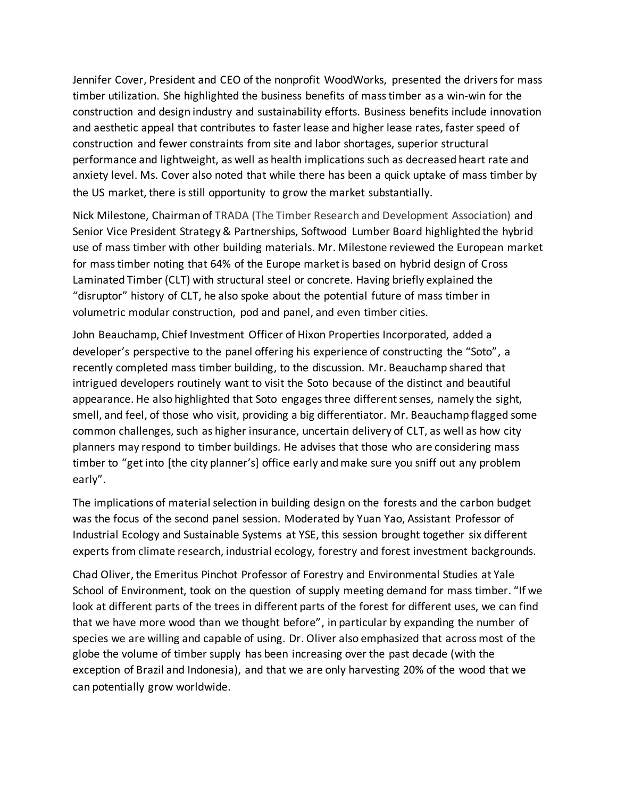Jennifer Cover, President and CEO of the nonprofit WoodWorks, presented the drivers for mass timber utilization. She highlighted the business benefits of mass timber as a win-win for the construction and design industry and sustainability efforts. Business benefits include innovation and aesthetic appeal that contributes to faster lease and higher lease rates, faster speed of construction and fewer constraints from site and labor shortages, superior structural performance and lightweight, as well as health implications such as decreased heart rate and anxiety level. Ms. Cover also noted that while there has been a quick uptake of mass timber by the US market, there is still opportunity to grow the market substantially.

Nick Milestone, Chairman of TRADA (The Timber Research and Development Association) and Senior Vice President Strategy & Partnerships, Softwood Lumber Board highlighted the hybrid use of mass timber with other building materials. Mr. Milestone reviewed the European market for mass timber noting that 64% of the Europe market is based on hybrid design of Cross Laminated Timber (CLT) with structural steel or concrete. Having briefly explained the "disruptor" history of CLT, he also spoke about the potential future of mass timber in volumetric modular construction, pod and panel, and even timber cities.

John Beauchamp, Chief Investment Officer of Hixon Properties Incorporated, added a developer's perspective to the panel offering his experience of constructing the "Soto", a recently completed mass timber building, to the discussion. Mr. Beauchamp shared that intrigued developers routinely want to visit the Soto because of the distinct and beautiful appearance. He also highlighted that Soto engages three different senses, namely the sight, smell, and feel, of those who visit, providing a big differentiator. Mr. Beauchamp flagged some common challenges, such as higher insurance, uncertain delivery of CLT, as well as how city planners may respond to timber buildings. He advises that those who are considering mass timber to "get into [the city planner's] office early and make sure you sniff out any problem early".

The implications of material selection in building design on the forests and the carbon budget was the focus of the second panel session. Moderated by Yuan Yao, Assistant Professor of Industrial Ecology and Sustainable Systems at YSE, this session brought together six different experts from climate research, industrial ecology, forestry and forest investment backgrounds.

Chad Oliver, the Emeritus Pinchot Professor of Forestry and Environmental Studies at Yale School of Environment, took on the question of supply meeting demand for mass timber. "If we look at different parts of the trees in different parts of the forest for different uses, we can find that we have more wood than we thought before", in particular by expanding the number of species we are willing and capable of using. Dr. Oliver also emphasized that across most of the globe the volume of timber supply has been increasing over the past decade (with the exception of Brazil and Indonesia), and that we are only harvesting 20% of the wood that we can potentially grow worldwide.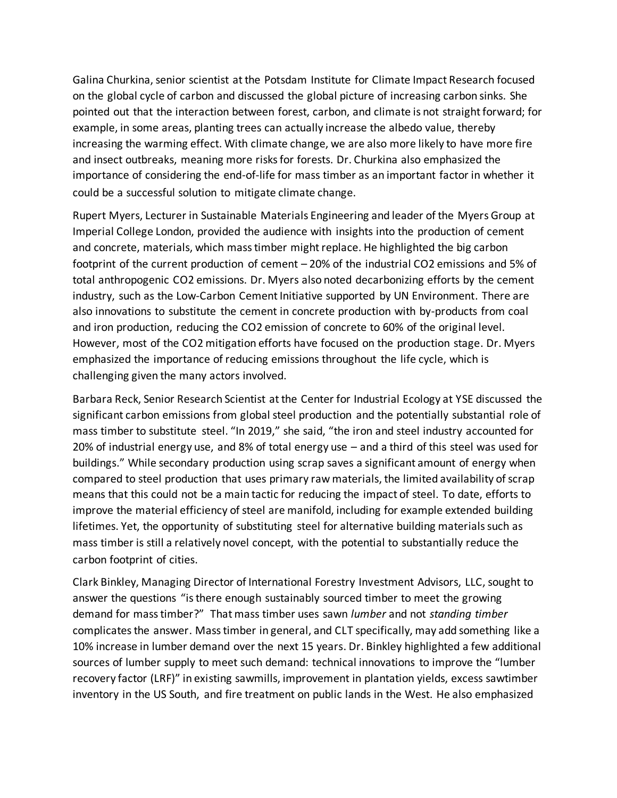Galina Churkina, senior scientist at the Potsdam Institute for Climate Impact Research focused on the global cycle of carbon and discussed the global picture of increasing carbon sinks. She pointed out that the interaction between forest, carbon, and climate is not straight forward; for example, in some areas, planting trees can actually increase the albedo value, thereby increasing the warming effect. With climate change, we are also more likely to have more fire and insect outbreaks, meaning more risks for forests. Dr. Churkina also emphasized the importance of considering the end-of-life for mass timber as an important factor in whether it could be a successful solution to mitigate climate change.

Rupert Myers, Lecturer in Sustainable Materials Engineering and leader of the Myers Group at Imperial College London, provided the audience with insights into the production of cement and concrete, materials, which mass timber might replace. He highlighted the big carbon footprint of the current production of cement – 20% of the industrial CO2 emissions and 5% of total anthropogenic CO2 emissions. Dr. Myers also noted decarbonizing efforts by the cement industry, such as the Low-Carbon Cement Initiative supported by UN Environment. There are also innovations to substitute the cement in concrete production with by-products from coal and iron production, reducing the CO2 emission of concrete to 60% of the original level. However, most of the CO2 mitigation efforts have focused on the production stage. Dr. Myers emphasized the importance of reducing emissions throughout the life cycle, which is challenging given the many actors involved.

Barbara Reck, Senior Research Scientist at the Center for Industrial Ecology at YSE discussed the significant carbon emissions from global steel production and the potentially substantial role of mass timber to substitute steel. "In 2019," she said, "the iron and steel industry accounted for 20% of industrial energy use, and 8% of total energy use – and a third of this steel was used for buildings." While secondary production using scrap saves a significant amount of energy when compared to steel production that uses primary raw materials, the limited availability of scrap means that this could not be a main tactic for reducing the impact of steel. To date, efforts to improve the material efficiency of steel are manifold, including for example extended building lifetimes. Yet, the opportunity of substituting steel for alternative building materials such as mass timber is still a relatively novel concept, with the potential to substantially reduce the carbon footprint of cities.

Clark Binkley, Managing Director of International Forestry Investment Advisors, LLC, sought to answer the questions "is there enough sustainably sourced timber to meet the growing demand for mass timber?" That mass timber uses sawn *lumber* and not *standing timber* complicates the answer. Mass timber in general, and CLT specifically, may add something like a 10% increase in lumber demand over the next 15 years. Dr. Binkley highlighted a few additional sources of lumber supply to meet such demand: technical innovations to improve the "lumber recovery factor (LRF)" in existing sawmills, improvement in plantation yields, excess sawtimber inventory in the US South, and fire treatment on public lands in the West. He also emphasized